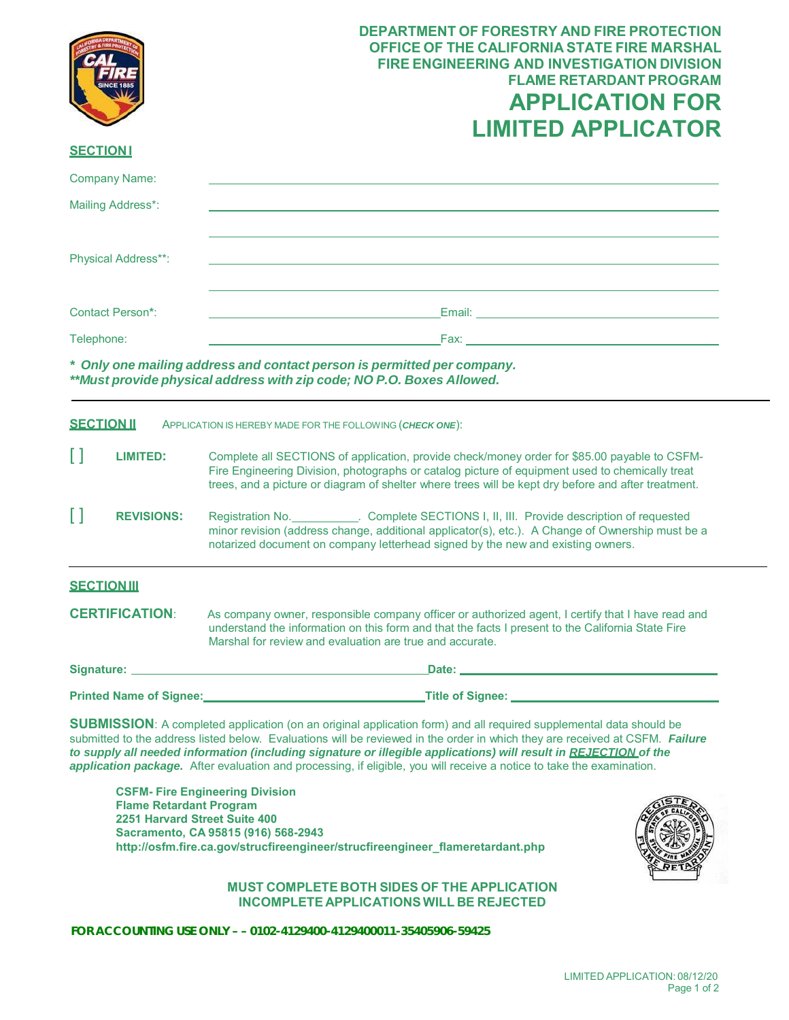|                                                                                                                                                                                                                                                                                                                                                                                                                                                                                                                                           | <b>DEPARTMENT OF FORESTRY AND FIRE PROTECTION</b><br><b>OFFICE OF THE CALIFORNIA STATE FIRE MARSHAL</b><br><b>FIRE ENGINEERING AND INVESTIGATION DIVISION</b><br><b>FLAME RETARDANT PROGRAM</b><br><b>APPLICATION FOR</b><br><b>LIMITED APPLICATOR</b>                                                 |
|-------------------------------------------------------------------------------------------------------------------------------------------------------------------------------------------------------------------------------------------------------------------------------------------------------------------------------------------------------------------------------------------------------------------------------------------------------------------------------------------------------------------------------------------|--------------------------------------------------------------------------------------------------------------------------------------------------------------------------------------------------------------------------------------------------------------------------------------------------------|
| <b>SECTIONI</b>                                                                                                                                                                                                                                                                                                                                                                                                                                                                                                                           |                                                                                                                                                                                                                                                                                                        |
| <b>Company Name:</b>                                                                                                                                                                                                                                                                                                                                                                                                                                                                                                                      |                                                                                                                                                                                                                                                                                                        |
| Mailing Address*:                                                                                                                                                                                                                                                                                                                                                                                                                                                                                                                         |                                                                                                                                                                                                                                                                                                        |
| Physical Address**:                                                                                                                                                                                                                                                                                                                                                                                                                                                                                                                       |                                                                                                                                                                                                                                                                                                        |
| Contact Person*:                                                                                                                                                                                                                                                                                                                                                                                                                                                                                                                          | Email: Email: All and All and All and All and All and All and All and All and All and All and All and All and                                                                                                                                                                                          |
| Telephone:                                                                                                                                                                                                                                                                                                                                                                                                                                                                                                                                | $\mathsf{Fax}$ . The state of $\mathsf{Fax}$ is the state of $\mathsf{Fax}$ . The state of $\mathsf{Fax}$ is the state of $\mathsf{Fax}$ is the state of $\mathsf{Fax}$ is the state of $\mathsf{Fax}$ is the state of $\mathsf{Fax}$ is the state of $\mathsf{Fax}$ is th                             |
| * Only one mailing address and contact person is permitted per company.<br>**Must provide physical address with zip code; NO P.O. Boxes Allowed.                                                                                                                                                                                                                                                                                                                                                                                          |                                                                                                                                                                                                                                                                                                        |
| <b>SECTION II</b>                                                                                                                                                                                                                                                                                                                                                                                                                                                                                                                         | APPLICATION IS HEREBY MADE FOR THE FOLLOWING (CHECK ONE):                                                                                                                                                                                                                                              |
| Н<br><b>LIMITED:</b>                                                                                                                                                                                                                                                                                                                                                                                                                                                                                                                      | Complete all SECTIONS of application, provide check/money order for \$85.00 payable to CSFM-<br>Fire Engineering Division, photographs or catalog picture of equipment used to chemically treat<br>trees, and a picture or diagram of shelter where trees will be kept dry before and after treatment. |
| П<br><b>REVISIONS:</b>                                                                                                                                                                                                                                                                                                                                                                                                                                                                                                                    | Registration No. Complete SECTIONS I, II, III. Provide description of requested<br>minor revision (address change, additional applicator(s), etc.). A Change of Ownership must be a<br>notarized document on company letterhead signed by the new and existing owners.                                 |
| <b>SECTION III</b>                                                                                                                                                                                                                                                                                                                                                                                                                                                                                                                        |                                                                                                                                                                                                                                                                                                        |
| <b>CERTIFICATION:</b>                                                                                                                                                                                                                                                                                                                                                                                                                                                                                                                     | As company owner, responsible company officer or authorized agent, I certify that I have read and<br>understand the information on this form and that the facts I present to the California State Fire<br>Marshal for review and evaluation are true and accurate.                                     |
|                                                                                                                                                                                                                                                                                                                                                                                                                                                                                                                                           |                                                                                                                                                                                                                                                                                                        |
|                                                                                                                                                                                                                                                                                                                                                                                                                                                                                                                                           | Printed Name of Signee:<br>Title of Signee:<br>Title of Signee:                                                                                                                                                                                                                                        |
| <b>SUBMISSION:</b> A completed application (on an original application form) and all required supplemental data should be<br>submitted to the address listed below. Evaluations will be reviewed in the order in which they are received at CSFM. Failure<br>to supply all needed information (including signature or illegible applications) will result in REJECTION of the<br>application package. After evaluation and processing, if eligible, you will receive a notice to take the examination.<br>CSEM. Fire Engineering Division |                                                                                                                                                                                                                                                                                                        |

 **2251 Harvard Street Suite 400 Sacramento, CA 95815 (916) 568-2943 CSFM- Fire Engineering Division Flame Retardant Program [http://osfm.fire.ca.gov/strucfireengineer/strucfireengineer\\_flameretardant.php](https://osfm.fire.ca.gov/divisions/fire-engineering-and-investigations/flame-retardant-chemicals-and-fabrics/)**



## **MUST COMPLETE BOTH SIDES OF THE APPLICATION INCOMPLETE APPLICATIONSWILL BE REJECTED**

 **FOR ACCOUNTING USE ONLY – – 0102-4129400-4129400011-35405906-59425**